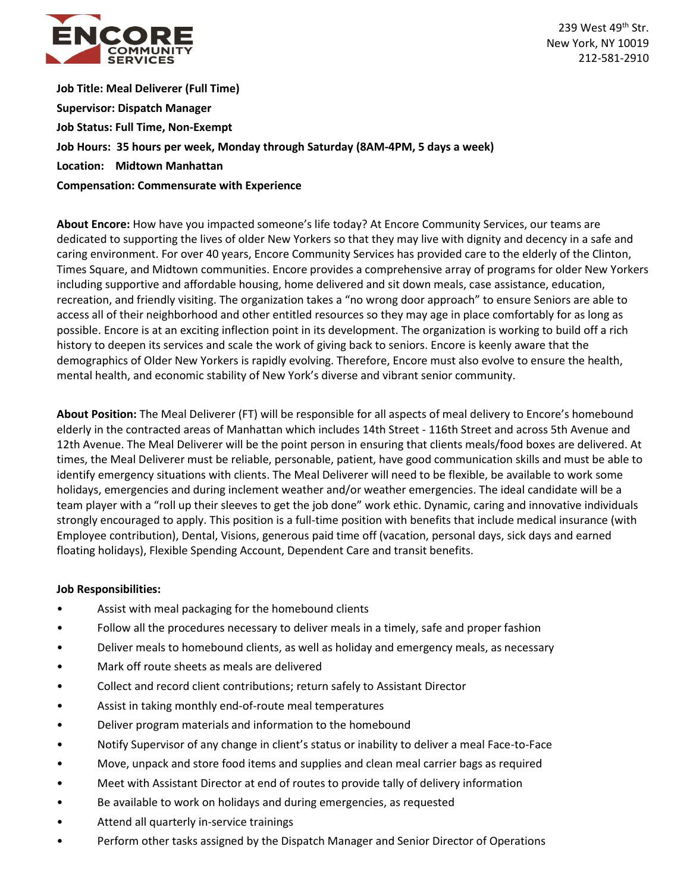

239 West 49<sup>th</sup> Str. New York, NY 10019 212-581-2910

**Job Title: Meal Deliverer (Full Time) Supervisor: Dispatch Manager Job Status: Full Time, Non-Exempt Job Hours: 35 hours per week, Monday through Saturday (8AM-4PM, 5 days a week) Location: Midtown Manhattan Compensation: Commensurate with Experience**

**About Encore:** How have you impacted someone's life today? At Encore Community Services, our teams are dedicated to supporting the lives of older New Yorkers so that they may live with dignity and decency in a safe and caring environment. For over 40 years, Encore Community Services has provided care to the elderly of the Clinton, Times Square, and Midtown communities. Encore provides a comprehensive array of programs for older New Yorkers including supportive and affordable housing, home delivered and sit down meals, case assistance, education, recreation, and friendly visiting. The organization takes a "no wrong door approach" to ensure Seniors are able to access all of their neighborhood and other entitled resources so they may age in place comfortably for as long as possible. Encore is at an exciting inflection point in its development. The organization is working to build off a rich history to deepen its services and scale the work of giving back to seniors. Encore is keenly aware that the demographics of Older New Yorkers is rapidly evolving. Therefore, Encore must also evolve to ensure the health, mental health, and economic stability of New York's diverse and vibrant senior community.

**About Position:** The Meal Deliverer (FT) will be responsible for all aspects of meal delivery to Encore's homebound elderly in the contracted areas of Manhattan which includes 14th Street - 116th Street and across 5th Avenue and 12th Avenue. The Meal Deliverer will be the point person in ensuring that clients meals/food boxes are delivered. At times, the Meal Deliverer must be reliable, personable, patient, have good communication skills and must be able to identify emergency situations with clients. The Meal Deliverer will need to be flexible, be available to work some holidays, emergencies and during inclement weather and/or weather emergencies. The ideal candidate will be a team player with a "roll up their sleeves to get the job done" work ethic. Dynamic, caring and innovative individuals strongly encouraged to apply. This position is a full-time position with benefits that include medical insurance (with Employee contribution), Dental, Visions, generous paid time off (vacation, personal days, sick days and earned floating holidays), Flexible Spending Account, Dependent Care and transit benefits.

## **Job Responsibilities:**

- Assist with meal packaging for the homebound clients
- Follow all the procedures necessary to deliver meals in a timely, safe and proper fashion
- Deliver meals to homebound clients, as well as holiday and emergency meals, as necessary
- Mark off route sheets as meals are delivered
- Collect and record client contributions; return safely to Assistant Director
- Assist in taking monthly end-of-route meal temperatures
- Deliver program materials and information to the homebound
- Notify Supervisor of any change in client's status or inability to deliver a meal Face-to-Face
- Move, unpack and store food items and supplies and clean meal carrier bags as required
- Meet with Assistant Director at end of routes to provide tally of delivery information
- Be available to work on holidays and during emergencies, as requested
- Attend all quarterly in-service trainings
- Perform other tasks assigned by the Dispatch Manager and Senior Director of Operations